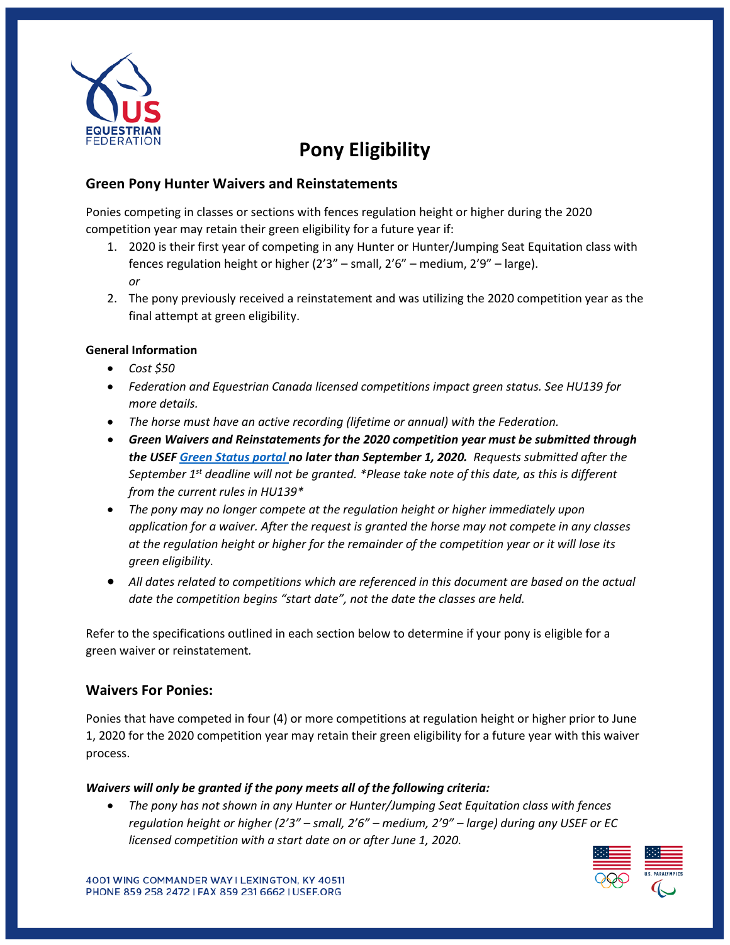

# **Pony Eligibility**

## **Green Pony Hunter Waivers and Reinstatements**

Ponies competing in classes or sections with fences regulation height or higher during the 2020 competition year may retain their green eligibility for a future year if:

- 1. 2020 is their first year of competing in any Hunter or Hunter/Jumping Seat Equitation class with fences regulation height or higher (2'3" – small, 2'6" – medium, 2'9" – large). *or*
- 2. The pony previously received a reinstatement and was utilizing the 2020 competition year as the final attempt at green eligibility.

#### **General Information**

- *Cost \$50*
- *Federation and Equestrian Canada licensed competitions impact green status. See HU139 for more details.*
- *The horse must have an active recording (lifetime or annual) with the Federation.*
- *Green Waivers and Reinstatements for the 2020 competition year must be submitted through the USE[F Green](https://members.usef.org/green-status) Status portal no later than September 1, 2020. Requests submitted after the September 1st deadline will not be granted. \*Please take note of this date, as this is different from the current rules in HU139\**
- *The pony may no longer compete at the regulation height or higher immediately upon application for a waiver. After the request is granted the horse may not compete in any classes at the regulation height or higher for the remainder of the competition year or it will lose its green eligibility.*
- *All dates related to competitions which are referenced in this document are based on the actual date the competition begins "start date", not the date the classes are held.*

Refer to the specifications outlined in each section below to determine if your pony is eligible for a green waiver or reinstatement*.*

### **Waivers For Ponies:**

Ponies that have competed in four (4) or more competitions at regulation height or higher prior to June 1, 2020 for the 2020 competition year may retain their green eligibility for a future year with this waiver process.

### *Waivers will only be granted if the pony meets all of the following criteria:*

• *The pony has not shown in any Hunter or Hunter/Jumping Seat Equitation class with fences regulation height or higher (2'3" – small, 2'6" – medium, 2'9" – large) during any USEF or EC licensed competition with a start date on or after June 1, 2020.*